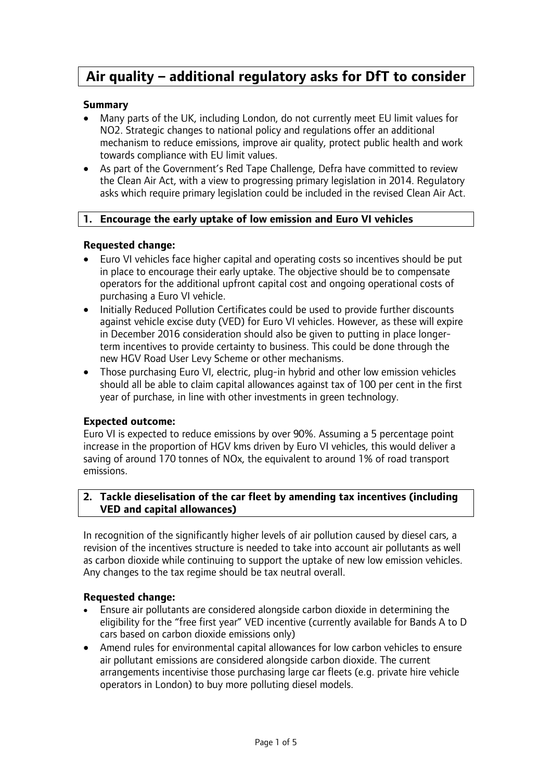# **Air quality – additional regulatory asks for DfT to consider**

# **Summary**

- Many parts of the UK, including London, do not currently meet EU limit values for NO2. Strategic changes to national policy and regulations offer an additional mechanism to reduce emissions, improve air quality, protect public health and work towards compliance with EU limit values.
- As part of the Government's Red Tape Challenge, Defra have committed to review the Clean Air Act, with a view to progressing primary legislation in 2014. Regulatory asks which require primary legislation could be included in the revised Clean Air Act.

## **1. Encourage the early uptake of low emission and Euro VI vehicles**

#### **Requested change:**

- Euro VI vehicles face higher capital and operating costs so incentives should be put in place to encourage their early uptake. The objective should be to compensate operators for the additional upfront capital cost and ongoing operational costs of purchasing a Euro VI vehicle.
- Initially Reduced Pollution Certificates could be used to provide further discounts against vehicle excise duty (VED) for Euro VI vehicles. However, as these will expire in December 2016 consideration should also be given to putting in place longerterm incentives to provide certainty to business. This could be done through the new HGV Road User Levy Scheme or other mechanisms.
- Those purchasing Euro VI, electric, plug-in hybrid and other low emission vehicles should all be able to claim capital allowances against tax of 100 per cent in the first year of purchase, in line with other investments in green technology.

# **Expected outcome:**

Euro VI is expected to reduce emissions by over 90%. Assuming a 5 percentage point increase in the proportion of HGV kms driven by Euro VI vehicles, this would deliver a saving of around 170 tonnes of NOx, the equivalent to around 1% of road transport emissions.

## **2. Tackle dieselisation of the car fleet by amending tax incentives (including VED and capital allowances)**

In recognition of the significantly higher levels of air pollution caused by diesel cars, a revision of the incentives structure is needed to take into account air pollutants as well as carbon dioxide while continuing to support the uptake of new low emission vehicles. Any changes to the tax regime should be tax neutral overall.

#### **Requested change:**

- Ensure air pollutants are considered alongside carbon dioxide in determining the eligibility for the "free first year" VED incentive (currently available for Bands A to D cars based on carbon dioxide emissions only)
- Amend rules for environmental capital allowances for low carbon vehicles to ensure air pollutant emissions are considered alongside carbon dioxide. The current arrangements incentivise those purchasing large car fleets (e.g. private hire vehicle operators in London) to buy more polluting diesel models.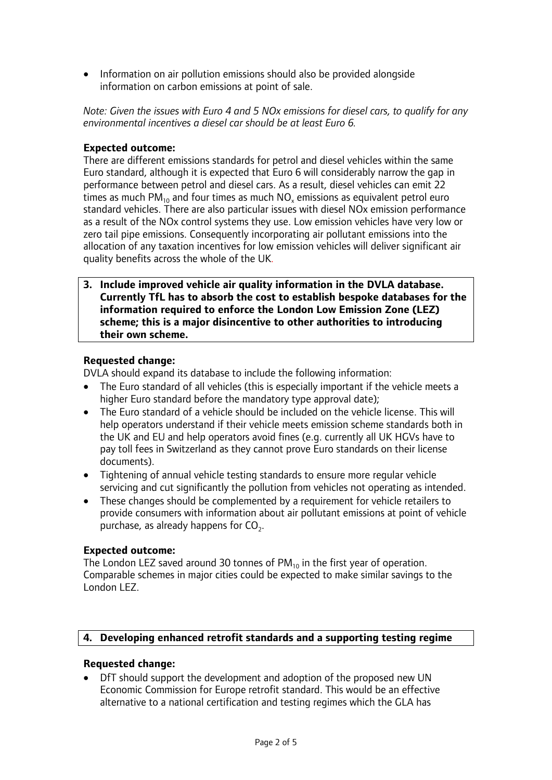• Information on air pollution emissions should also be provided alongside information on carbon emissions at point of sale.

*Note: Given the issues with Euro 4 and 5 NOx emissions for diesel cars, to qualify for any environmental incentives a diesel car should be at least Euro 6.* 

# **Expected outcome:**

There are different emissions standards for petrol and diesel vehicles within the same Euro standard, although it is expected that Euro 6 will considerably narrow the gap in performance between petrol and diesel cars. As a result, diesel vehicles can emit 22 times as much  $PM_{10}$  and four times as much  $NO<sub>x</sub>$  emissions as equivalent petrol euro standard vehicles. There are also particular issues with diesel NOx emission performance as a result of the NOx control systems they use. Low emission vehicles have very low or zero tail pipe emissions. Consequently incorporating air pollutant emissions into the allocation of any taxation incentives for low emission vehicles will deliver significant air quality benefits across the whole of the UK*.*

**3. Include improved vehicle air quality information in the DVLA database. Currently TfL has to absorb the cost to establish bespoke databases for the information required to enforce the London Low Emission Zone (LEZ) scheme; this is a major disincentive to other authorities to introducing their own scheme.** 

## **Requested change:**

DVLA should expand its database to include the following information:

- The Euro standard of all vehicles (this is especially important if the vehicle meets a higher Euro standard before the mandatory type approval date);
- The Euro standard of a vehicle should be included on the vehicle license. This will help operators understand if their vehicle meets emission scheme standards both in the UK and EU and help operators avoid fines (e.g. currently all UK HGVs have to pay toll fees in Switzerland as they cannot prove Euro standards on their license documents).
- Tightening of annual vehicle testing standards to ensure more regular vehicle servicing and cut significantly the pollution from vehicles not operating as intended.
- These changes should be complemented by a requirement for vehicle retailers to provide consumers with information about air pollutant emissions at point of vehicle purchase, as already happens for  $CO<sub>2</sub>$ .

# **Expected outcome:**

The London LEZ saved around 30 tonnes of  $PM_{10}$  in the first year of operation. Comparable schemes in major cities could be expected to make similar savings to the London LEZ.

# **4. Developing enhanced retrofit standards and a supporting testing regime**

# **Requested change:**

 DfT should support the development and adoption of the proposed new UN Economic Commission for Europe retrofit standard. This would be an effective alternative to a national certification and testing regimes which the GLA has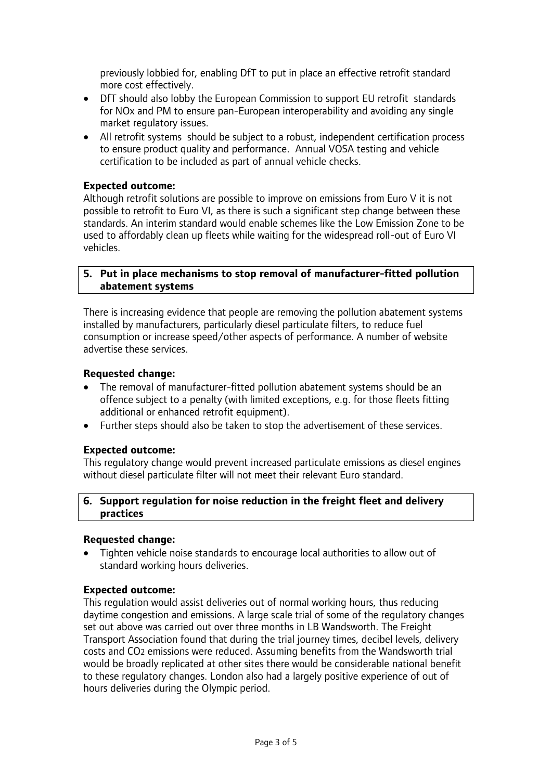previously lobbied for, enabling DfT to put in place an effective retrofit standard more cost effectively.

- DfT should also lobby the European Commission to support EU retrofit standards for NOx and PM to ensure pan-European interoperability and avoiding any single market regulatory issues.
- All retrofit systems should be subject to a robust, independent certification process to ensure product quality and performance. Annual VOSA testing and vehicle certification to be included as part of annual vehicle checks.

## **Expected outcome:**

Although retrofit solutions are possible to improve on emissions from Euro V it is not possible to retrofit to Euro VI, as there is such a significant step change between these standards. An interim standard would enable schemes like the Low Emission Zone to be used to affordably clean up fleets while waiting for the widespread roll-out of Euro VI vehicles.

#### **5. Put in place mechanisms to stop removal of manufacturer-fitted pollution abatement systems**

There is increasing evidence that people are removing the pollution abatement systems installed by manufacturers, particularly diesel particulate filters, to reduce fuel consumption or increase speed/other aspects of performance. A number of website advertise these services.

## **Requested change:**

- The removal of manufacturer-fitted pollution abatement systems should be an offence subject to a penalty (with limited exceptions, e.g. for those fleets fitting additional or enhanced retrofit equipment).
- Further steps should also be taken to stop the advertisement of these services.

#### **Expected outcome:**

This regulatory change would prevent increased particulate emissions as diesel engines without diesel particulate filter will not meet their relevant Euro standard.

## **6. Support regulation for noise reduction in the freight fleet and delivery practices**

#### **Requested change:**

 Tighten vehicle noise standards to encourage local authorities to allow out of standard working hours deliveries.

#### **Expected outcome:**

This regulation would assist deliveries out of normal working hours, thus reducing daytime congestion and emissions. A large scale trial of some of the regulatory changes set out above was carried out over three months in LB Wandsworth. The Freight Transport Association found that during the trial journey times, decibel levels, delivery costs and CO2 emissions were reduced. Assuming benefits from the Wandsworth trial would be broadly replicated at other sites there would be considerable national benefit to these regulatory changes. London also had a largely positive experience of out of hours deliveries during the Olympic period.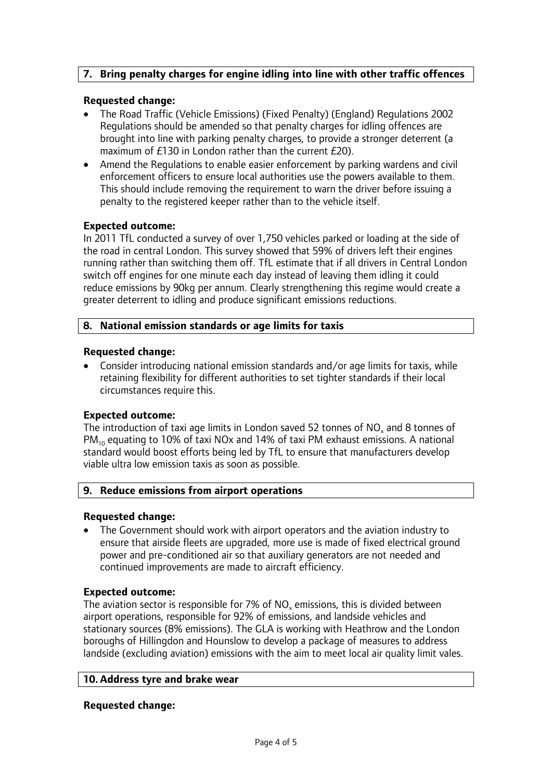# **7. Bring penalty charges for engine idling into line with other traffic offences**

### **Requested change:**

- The Road Traffic (Vehicle Emissions) (Fixed Penalty) (England) Regulations 2002 Regulations should be amended so that penalty charges for idling offences are brought into line with parking penalty charges, to provide a stronger deterrent (a maximum of £130 in London rather than the current £20).
- Amend the Regulations to enable easier enforcement by parking wardens and civil enforcement officers to ensure local authorities use the powers available to them. This should include removing the requirement to warn the driver before issuing a penalty to the registered keeper rather than to the vehicle itself.

#### **Expected outcome:**

In 2011 TfL conducted a survey of over 1,750 vehicles parked or loading at the side of the road in central London. This survey showed that 59% of drivers left their engines running rather than switching them off. TfL estimate that if all drivers in Central London switch off engines for one minute each day instead of leaving them idling it could reduce emissions by 90kg per annum. Clearly strengthening this regime would create a greater deterrent to idling and produce significant emissions reductions.

## **8. National emission standards or age limits for taxis**

#### **Requested change:**

 Consider introducing national emission standards and/or age limits for taxis, while retaining flexibility for different authorities to set tighter standards if their local circumstances require this.

# **Expected outcome:**

The introduction of taxi age limits in London saved 52 tonnes of  $NO<sub>x</sub>$  and 8 tonnes of  $PM_{10}$  equating to 10% of taxi NOx and 14% of taxi PM exhaust emissions. A national standard would boost efforts being led by TfL to ensure that manufacturers develop viable ultra low emission taxis as soon as possible.

#### **9. Reduce emissions from airport operations**

#### **Requested change:**

 The Government should work with airport operators and the aviation industry to ensure that airside fleets are upgraded, more use is made of fixed electrical ground power and pre-conditioned air so that auxiliary generators are not needed and continued improvements are made to aircraft efficiency.

#### **Expected outcome:**

The aviation sector is responsible for  $7\%$  of NO<sub>x</sub> emissions, this is divided between airport operations, responsible for 92% of emissions, and landside vehicles and stationary sources (8% emissions). The GLA is working with Heathrow and the London boroughs of Hillingdon and Hounslow to develop a package of measures to address landside (excluding aviation) emissions with the aim to meet local air quality limit vales.

#### **10. Address tyre and brake wear**

#### **Requested change:**